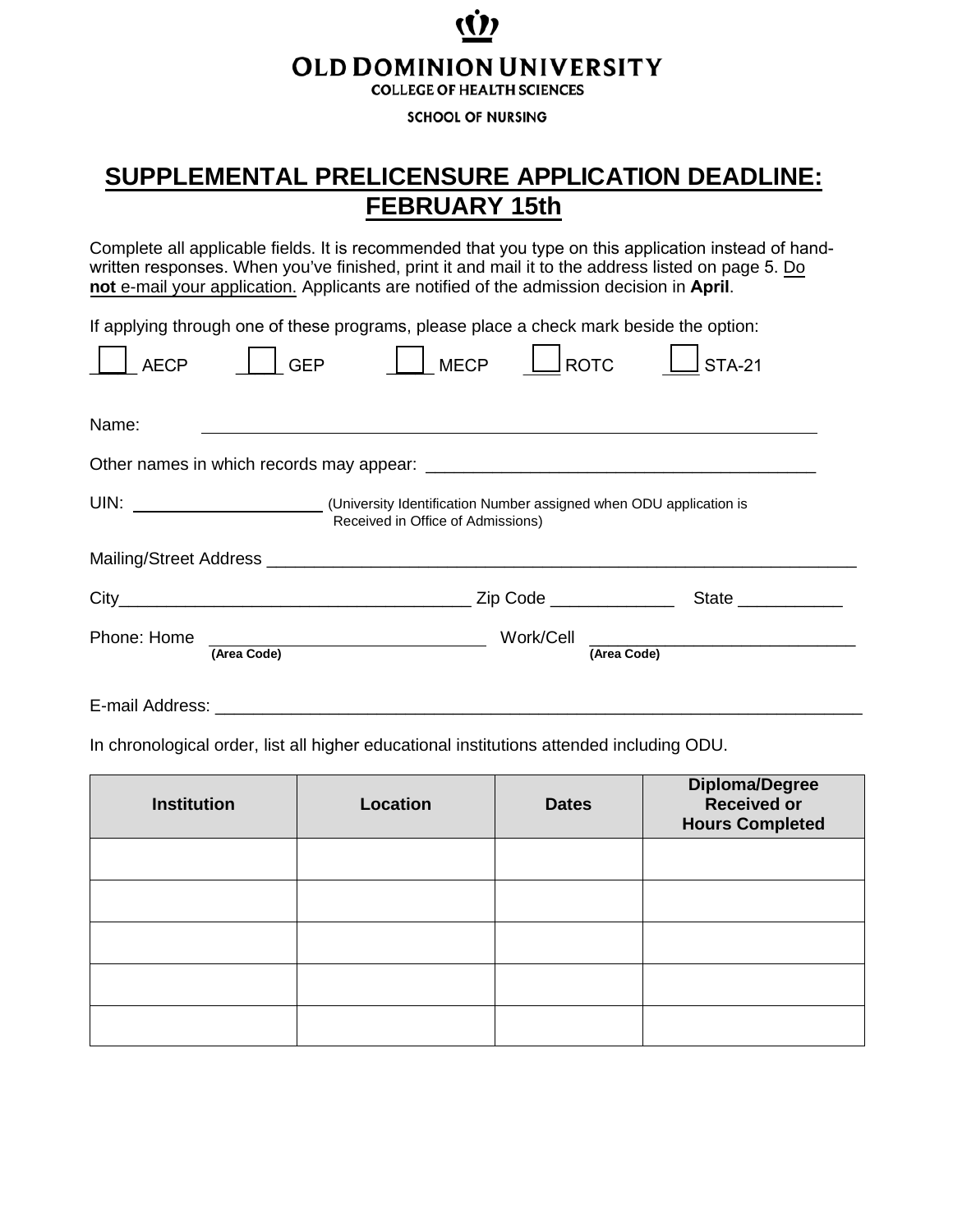# **OLD DOMINION UNIVERSITY**

**COLLEGE OF HEALTH SCIENCES** 

**SCHOOL OF NURSING** 

### **SUPPLEMENTAL PRELICENSURE APPLICATION DEADLINE: FEBRUARY 15th**

Complete all applicable fields. It is recommended that you type on this application instead of handwritten responses. When you've finished, print it and mail it to the address listed on page 5. Do **not** e-mail your application. Applicants are notified of the admission decision in **April**.

If applying through one of these programs, please place a check mark beside the option:

| <b>AECP</b>     | <b>GEP</b>  | <b>MECP</b>                                                                                                      | <b>ROTC</b>                  | <b>STA-21</b> |  |
|-----------------|-------------|------------------------------------------------------------------------------------------------------------------|------------------------------|---------------|--|
| Name:           |             |                                                                                                                  |                              |               |  |
|                 |             |                                                                                                                  |                              |               |  |
|                 |             | UIN: UIN: University Identification Number assigned when ODU application is<br>Received in Office of Admissions) |                              |               |  |
|                 |             |                                                                                                                  |                              |               |  |
| $City_$         |             |                                                                                                                  | Zip Code <u>____________</u> | State         |  |
| Phone: Home     | (Area Code) |                                                                                                                  | Work/Cell<br>(Area Code)     |               |  |
| E-mail Address: |             |                                                                                                                  |                              |               |  |

In chronological order, list all higher educational institutions attended including ODU.

| <b>Institution</b> | Location | <b>Dates</b> | Diploma/Degree<br>Received or<br><b>Hours Completed</b> |
|--------------------|----------|--------------|---------------------------------------------------------|
|                    |          |              |                                                         |
|                    |          |              |                                                         |
|                    |          |              |                                                         |
|                    |          |              |                                                         |
|                    |          |              |                                                         |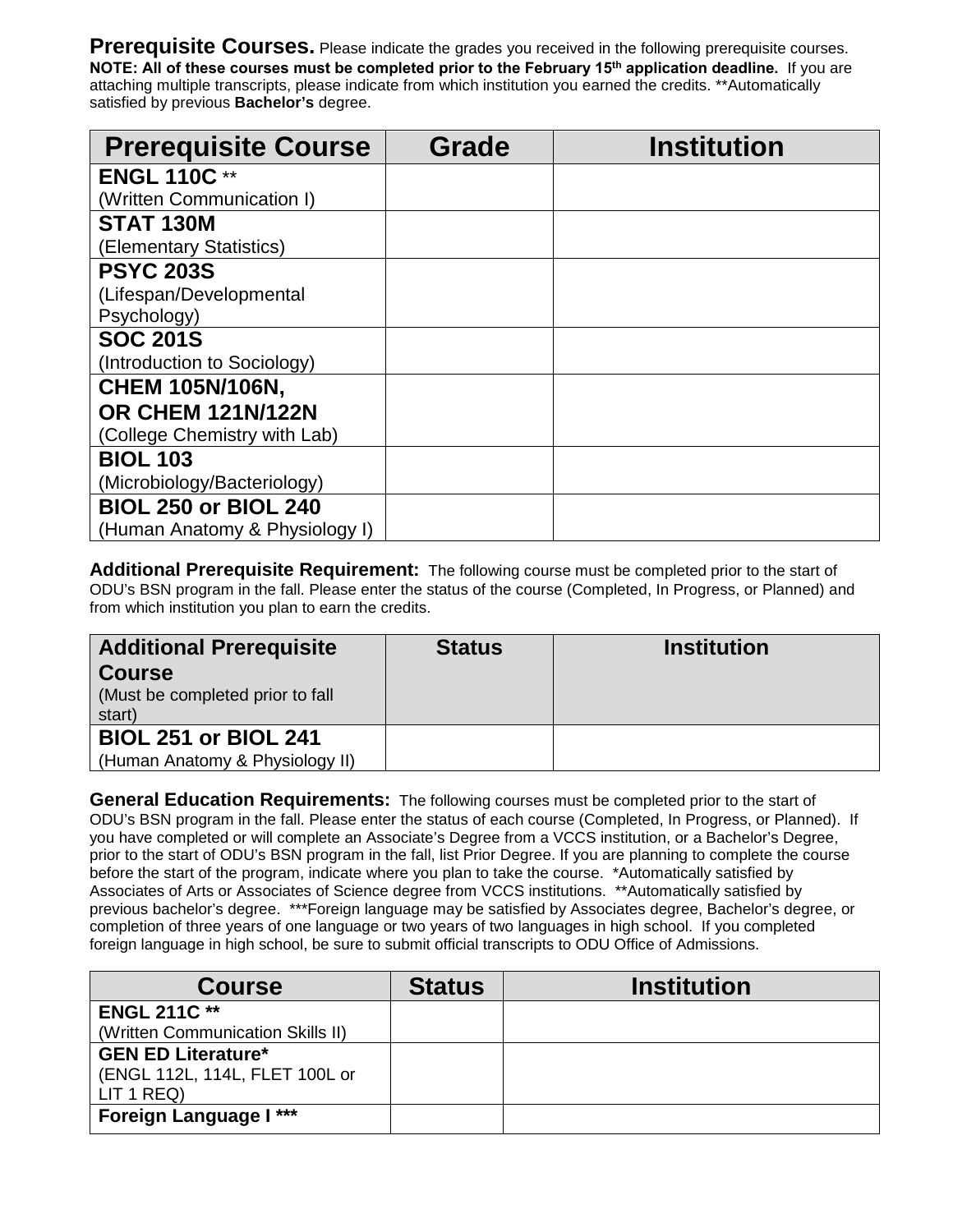**Prerequisite Courses.** Please indicate the grades you received in the following prerequisite courses. **NOTE: All of these courses must be completed prior to the February 15th application deadline.** If you are attaching multiple transcripts, please indicate from which institution you earned the credits. \*\*Automatically satisfied by previous **Bachelor's** degree.

| <b>Prerequisite Course</b>     | <b>Grade</b> | <b>Institution</b> |
|--------------------------------|--------------|--------------------|
| <b>ENGL 110C**</b>             |              |                    |
| (Written Communication I)      |              |                    |
| <b>STAT 130M</b>               |              |                    |
| (Elementary Statistics)        |              |                    |
| <b>PSYC 203S</b>               |              |                    |
| (Lifespan/Developmental        |              |                    |
| Psychology)                    |              |                    |
| <b>SOC 201S</b>                |              |                    |
| (Introduction to Sociology)    |              |                    |
| <b>CHEM 105N/106N,</b>         |              |                    |
| <b>OR CHEM 121N/122N</b>       |              |                    |
| (College Chemistry with Lab)   |              |                    |
| <b>BIOL 103</b>                |              |                    |
| (Microbiology/Bacteriology)    |              |                    |
| <b>BIOL 250 or BIOL 240</b>    |              |                    |
| (Human Anatomy & Physiology I) |              |                    |

**Additional Prerequisite Requirement:** The following course must be completed prior to the start of ODU's BSN program in the fall. Please enter the status of the course (Completed, In Progress, or Planned) and from which institution you plan to earn the credits.

| <b>Additional Prerequisite</b><br><b>Course</b><br>(Must be completed prior to fall<br>start) | <b>Status</b> | <b>Institution</b> |
|-----------------------------------------------------------------------------------------------|---------------|--------------------|
| <b>BIOL 251 or BIOL 241</b><br>(Human Anatomy & Physiology II)                                |               |                    |

**General Education Requirements:** The following courses must be completed prior to the start of ODU's BSN program in the fall. Please enter the status of each course (Completed, In Progress, or Planned). If you have completed or will complete an Associate's Degree from a VCCS institution, or a Bachelor's Degree, prior to the start of ODU's BSN program in the fall, list Prior Degree. If you are planning to complete the course before the start of the program, indicate where you plan to take the course. \*Automatically satisfied by Associates of Arts or Associates of Science degree from VCCS institutions. \*\*Automatically satisfied by previous bachelor's degree. \*\*\*Foreign language may be satisfied by Associates degree, Bachelor's degree, or completion of three years of one language or two years of two languages in high school. If you completed foreign language in high school, be sure to submit official transcripts to ODU Office of Admissions.

| <b>Course</b>                     | <b>Status</b> | <b>Institution</b> |
|-----------------------------------|---------------|--------------------|
| <b>ENGL 211C **</b>               |               |                    |
| (Written Communication Skills II) |               |                    |
| <b>GEN ED Literature*</b>         |               |                    |
| (ENGL 112L, 114L, FLET 100L or    |               |                    |
| LIT 1 REQ                         |               |                    |
| <b>Foreign Language I ***</b>     |               |                    |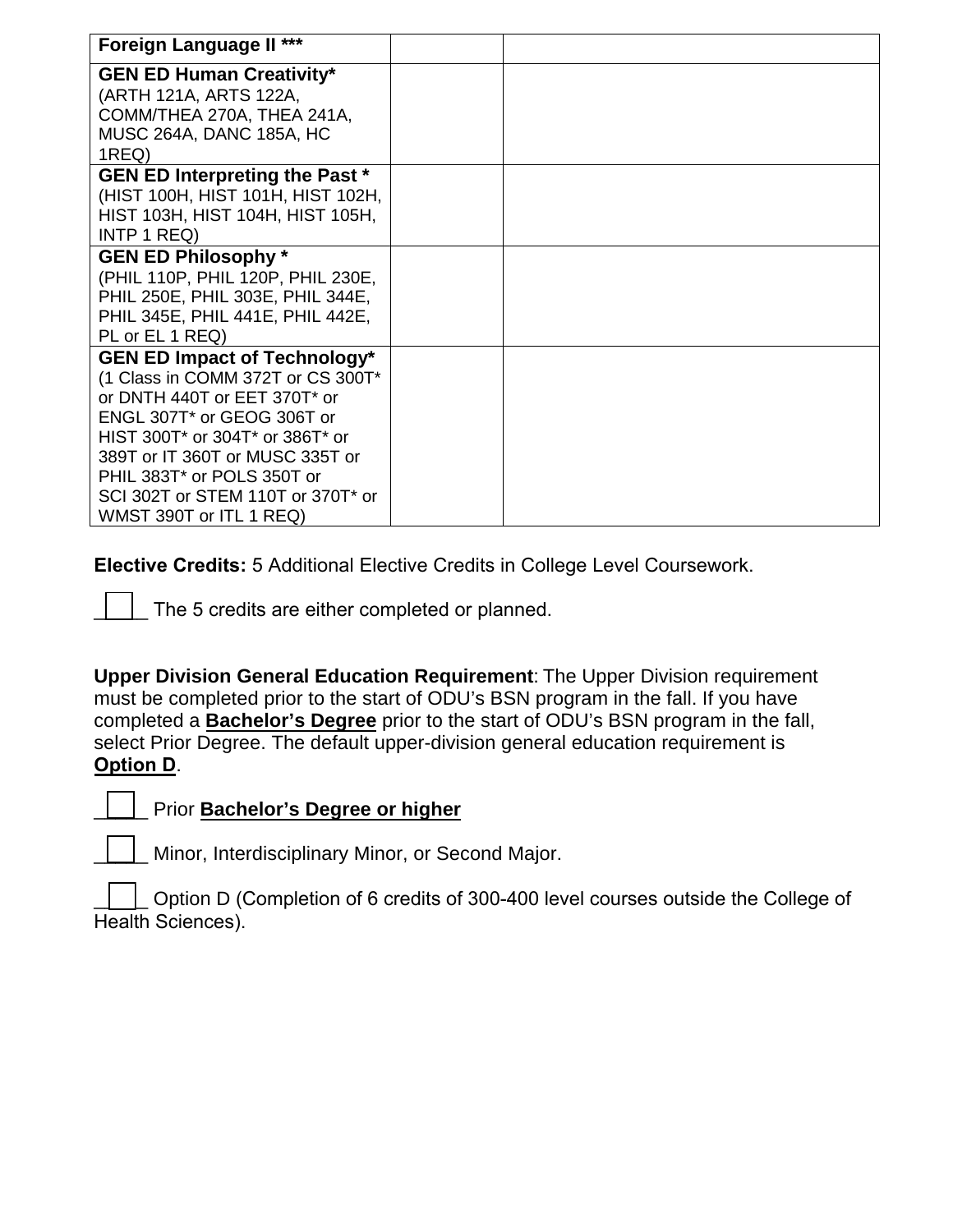| Foreign Language II ***                                                                                                                                                                                                                                                                                    |  |
|------------------------------------------------------------------------------------------------------------------------------------------------------------------------------------------------------------------------------------------------------------------------------------------------------------|--|
| <b>GEN ED Human Creativity*</b><br>(ARTH 121A, ARTS 122A,<br>COMM/THEA 270A, THEA 241A,<br><b>MUSC 264A, DANC 185A, HC</b><br>1REQ)                                                                                                                                                                        |  |
| <b>GEN ED Interpreting the Past *</b><br>(HIST 100H, HIST 101H, HIST 102H,<br>HIST 103H, HIST 104H, HIST 105H,<br>INTP 1 REQ)                                                                                                                                                                              |  |
| <b>GEN ED Philosophy*</b><br>(PHIL 110P, PHIL 120P, PHIL 230E,<br>PHIL 250E, PHIL 303E, PHIL 344E,<br>PHIL 345E, PHIL 441E, PHIL 442E,<br>PL or EL 1 REQ)                                                                                                                                                  |  |
| <b>GEN ED Impact of Technology*</b><br>(1 Class in COMM 372T or CS 300T*<br>or DNTH 440T or EET 370T* or<br>ENGL 307T* or GEOG 306T or<br>HIST 300T* or 304T* or 386T* or<br>389T or IT 360T or MUSC 335T or<br>PHIL 383T* or POLS 350T or<br>SCI 302T or STEM 110T or 370T* or<br>WMST 390T or ITL 1 REQ) |  |

**Elective Credits:** 5 Additional Elective Credits in College Level Coursework.

The 5 credits are either completed or planned.

**Upper Division General Education Requirement**: The Upper Division requirement must be completed prior to the start of ODU's BSN program in the fall. If you have completed a **Bachelor's Degree** prior to the start of ODU's BSN program in the fall, select Prior Degree. The default upper-division general education requirement is **Option D**.

#### \_\_\_\_\_ Prior **Bachelor's Degree or higher**

\_\_\_\_\_ Minor, Interdisciplinary Minor, or Second Major.

\_\_\_\_\_ Option D (Completion of 6 credits of 300-400 level courses outside the College of Health Sciences).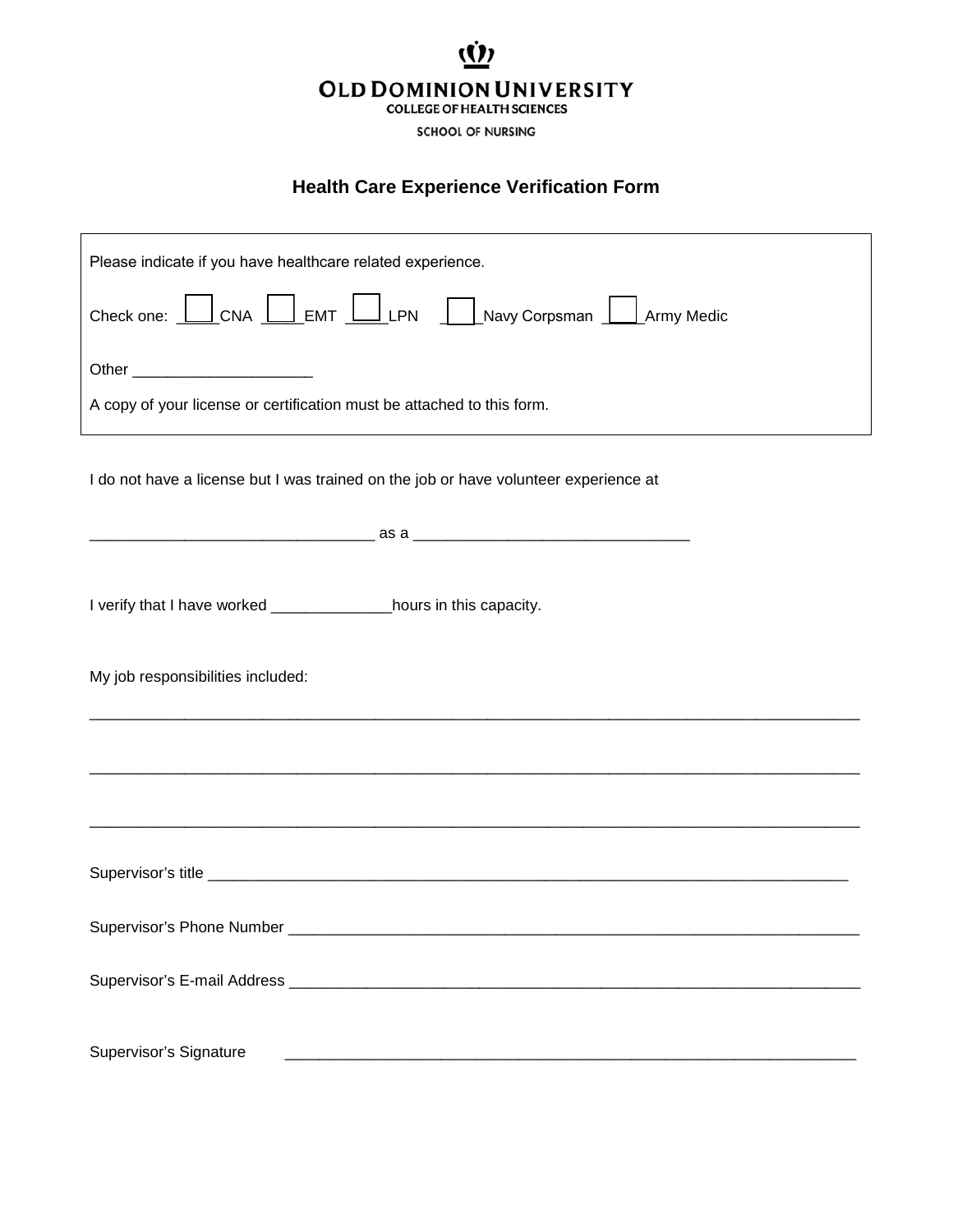## **OLD DOMINION UNIVERSITY COLLEGE OF HEALTH SCIENCES**

**SCHOOL OF NURSING** 

### **Health Care Experience Verification Form**

| Please indicate if you have healthcare related experience.                           |
|--------------------------------------------------------------------------------------|
| Check one: CNA EMT LPN Navy Corpsman Army Medic                                      |
| Other __________________________                                                     |
| A copy of your license or certification must be attached to this form.               |
| I do not have a license but I was trained on the job or have volunteer experience at |
|                                                                                      |
|                                                                                      |
| I verify that I have worked _________________hours in this capacity.                 |
| My job responsibilities included:                                                    |
|                                                                                      |
|                                                                                      |
|                                                                                      |
|                                                                                      |
|                                                                                      |
| Supervisor's Signature                                                               |